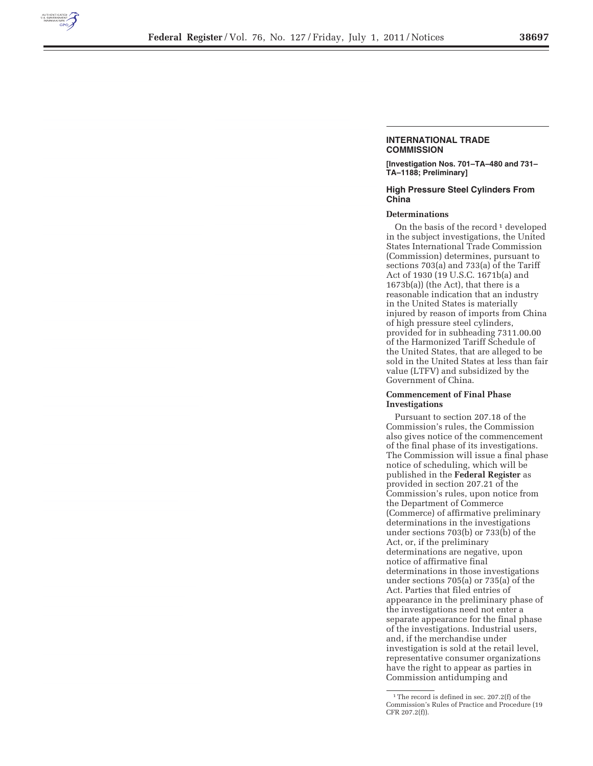

#### **INTERNATIONAL TRADE COMMISSION**

**[Investigation Nos. 701–TA–480 and 731– TA–1188; Preliminary]** 

### **High Pressure Steel Cylinders From China**

## **Determinations**

On the basis of the record<sup>1</sup> developed in the subject investigations, the United States International Trade Commission (Commission) determines, pursuant to sections 703(a) and 733(a) of the Tariff Act of 1930 (19 U.S.C. 1671b(a) and 1673b(a)) (the Act), that there is a reasonable indication that an industry in the United States is materially injured by reason of imports from China of high pressure steel cylinders, provided for in subheading 7311.00.00 of the Harmonized Tariff Schedule of the United States, that are alleged to be sold in the United States at less than fair value (LTFV) and subsidized by the Government of China.

### **Commencement of Final Phase Investigations**

Pursuant to section 207.18 of the Commission's rules, the Commission also gives notice of the commencement of the final phase of its investigations. The Commission will issue a final phase notice of scheduling, which will be published in the **Federal Register** as provided in section 207.21 of the Commission's rules, upon notice from the Department of Commerce (Commerce) of affirmative preliminary determinations in the investigations under sections 703(b) or 733(b) of the Act, or, if the preliminary determinations are negative, upon notice of affirmative final determinations in those investigations under sections 705(a) or 735(a) of the Act. Parties that filed entries of appearance in the preliminary phase of the investigations need not enter a separate appearance for the final phase of the investigations. Industrial users, and, if the merchandise under investigation is sold at the retail level, representative consumer organizations have the right to appear as parties in Commission antidumping and

<sup>&</sup>lt;sup>1</sup>The record is defined in sec. 207.2(f) of the Commission's Rules of Practice and Procedure (19 CFR 207.2(f)).